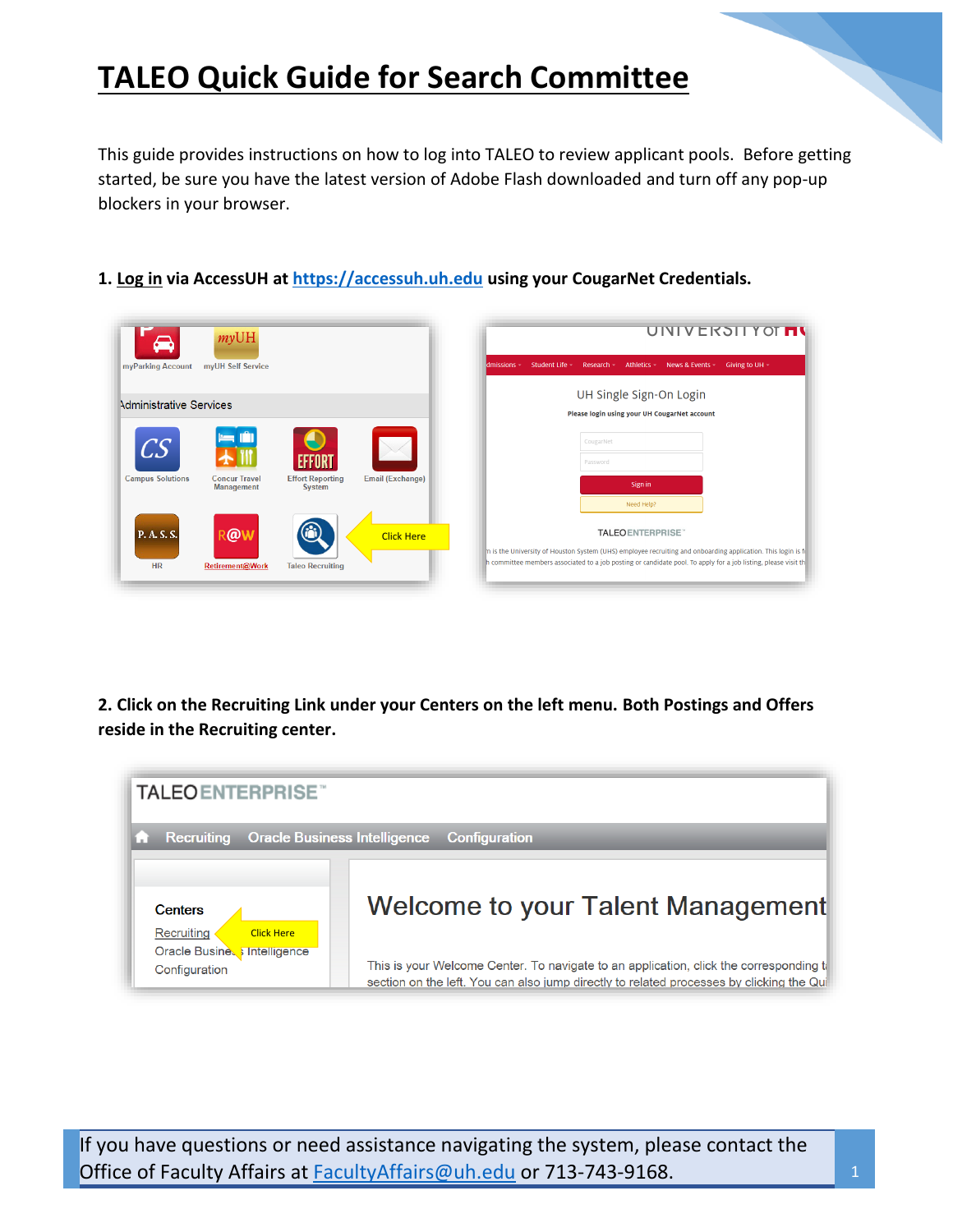This guide provides instructions on how to log into TALEO to review applicant pools. Before getting started, be sure you have the latest version of Adobe Flash downloaded and turn off any pop-up blockers in your browser.

**1. Log in via AccessUH at [https://accessuh.uh.edu](https://accessuh.uh.edu/) using your CougarNet Credentials.** 

| $\rightarrow$            | myUH                                      |                                          |                         | UNIVERSITY OT THE                                                                                                                                                                                                                                          |
|--------------------------|-------------------------------------------|------------------------------------------|-------------------------|------------------------------------------------------------------------------------------------------------------------------------------------------------------------------------------------------------------------------------------------------------|
| myParking Account        | myUH Self Service                         |                                          |                         | Student Life -<br>Athletics -<br>Research -<br>News & Events -<br>Giving to UH $-$<br>dmissions -                                                                                                                                                          |
| Administrative Services  |                                           |                                          |                         | UH Single Sign-On Login<br>Please login using your UH CougarNet account                                                                                                                                                                                    |
| CS                       |                                           |                                          |                         | CougarNet<br>Password                                                                                                                                                                                                                                      |
| <b>Campus Solutions</b>  | <b>Concur Travel</b><br><b>Management</b> | <b>Effort Reporting</b><br><b>System</b> | <b>Email (Exchange)</b> | Sign in<br>Need Help?                                                                                                                                                                                                                                      |
| P. A. S. S.<br><b>HR</b> | R@<br>Retirement@Work                     | <b>Taleo Recruiting</b>                  | <b>Click Here</b>       | <b>TALEOENTERPRISE</b><br>In is the University of Houston System (UHS) employee recruiting and onboarding application. This login is for<br>h committee members associated to a job posting or candidate pool. To apply for a job listing, please visit th |

**2. Click on the Recruiting Link under your Centers on the left menu. Both Postings and Offers reside in the Recruiting center.**

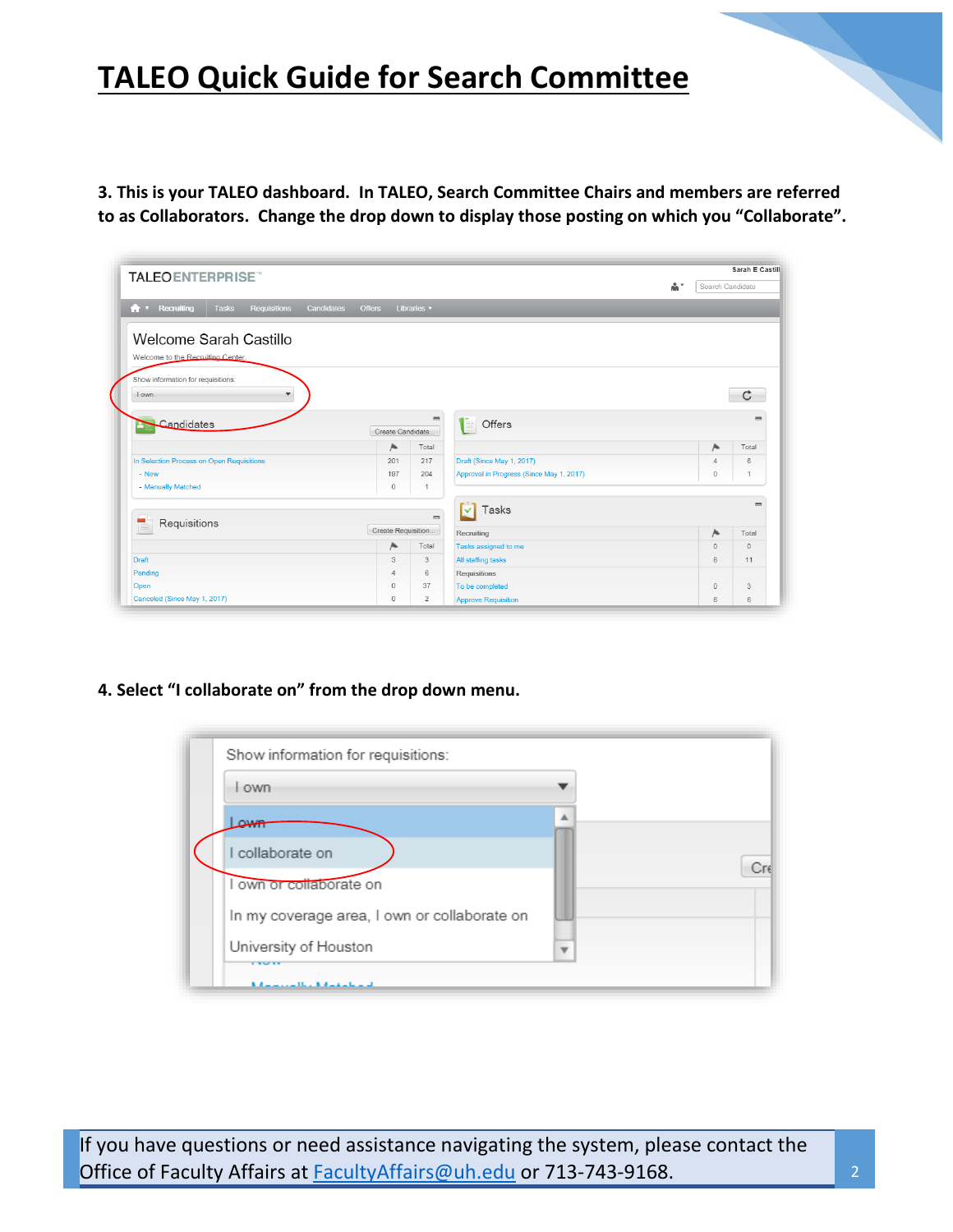**3. This is your TALEO dashboard. In TALEO, Search Committee Chairs and members are referred to as Collaborators. Change the drop down to display those posting on which you "Collaborate".** 

| <b>TALEOENTERPRISE</b>                                       |                             |                |                                          |    |                  | Sarah E Castill |
|--------------------------------------------------------------|-----------------------------|----------------|------------------------------------------|----|------------------|-----------------|
|                                                              |                             |                |                                          | å* | Search Candidate |                 |
| <b>Tasks</b><br><b>A v</b> Recruiting<br><b>Requisitions</b> | Candidates<br><b>Offers</b> | Libraries v    |                                          |    |                  |                 |
| Welcome Sarah Castillo                                       |                             |                |                                          |    |                  |                 |
|                                                              |                             |                |                                          |    |                  |                 |
| Welcome to the Recruiting Center.                            |                             |                |                                          |    |                  |                 |
| Show information for requisitions:                           |                             |                |                                          |    |                  |                 |
| I own<br>$\overline{\mathbf{v}}$                             |                             |                |                                          |    |                  | C.              |
|                                                              |                             |                |                                          |    |                  |                 |
| Candidates                                                   |                             | $\equiv$       | $\left  \Xi \right $ Offers              |    |                  |                 |
|                                                              | Create Candidate.           |                |                                          |    |                  |                 |
|                                                              | 压                           | Total          |                                          |    | Α.               | Total           |
| In Selection Process on Open Requisitions                    | 201                         | 217            | Draft (Since May 1, 2017)                |    | $\overline{4}$   | 6               |
| - New                                                        | 197                         | 204            | Approval in Progress (Since May 1, 2017) |    | $\circ$          | $\overline{1}$  |
| - Manually Matched                                           | $\Omega$                    | $\overline{1}$ |                                          |    |                  |                 |
|                                                              |                             |                | Tasks<br>M                               |    |                  | $=$             |
| Requisitions                                                 |                             | $=$            |                                          |    |                  |                 |
|                                                              | Create Requisition          |                | Recruiting                               |    | 压                | Total           |
|                                                              | 压                           | Total          | Tasks assigned to me                     |    | $\Omega$         | $\Omega$        |
| Draft                                                        | 3                           | 3              | All staffing tasks                       |    | 6                | 11              |
| Pending                                                      | $\Delta$                    | 6              | Requisitions                             |    |                  |                 |
| Open                                                         | $\circ$                     | 37             | To be completed                          |    | $\circ$          | 3               |
| Canceled (Since May 1, 2017)                                 | 0                           | $\overline{2}$ | <b>Approve Requisition</b>               |    | 6                | 6               |

**4. Select "I collaborate on" from the drop down menu.**

| l own                                        |                          |
|----------------------------------------------|--------------------------|
| معدت                                         | ▲                        |
| collaborate on                               |                          |
| I own or collaborate on                      |                          |
| In my coverage area, I own or collaborate on |                          |
| University of Houston                        | $\overline{\phantom{a}}$ |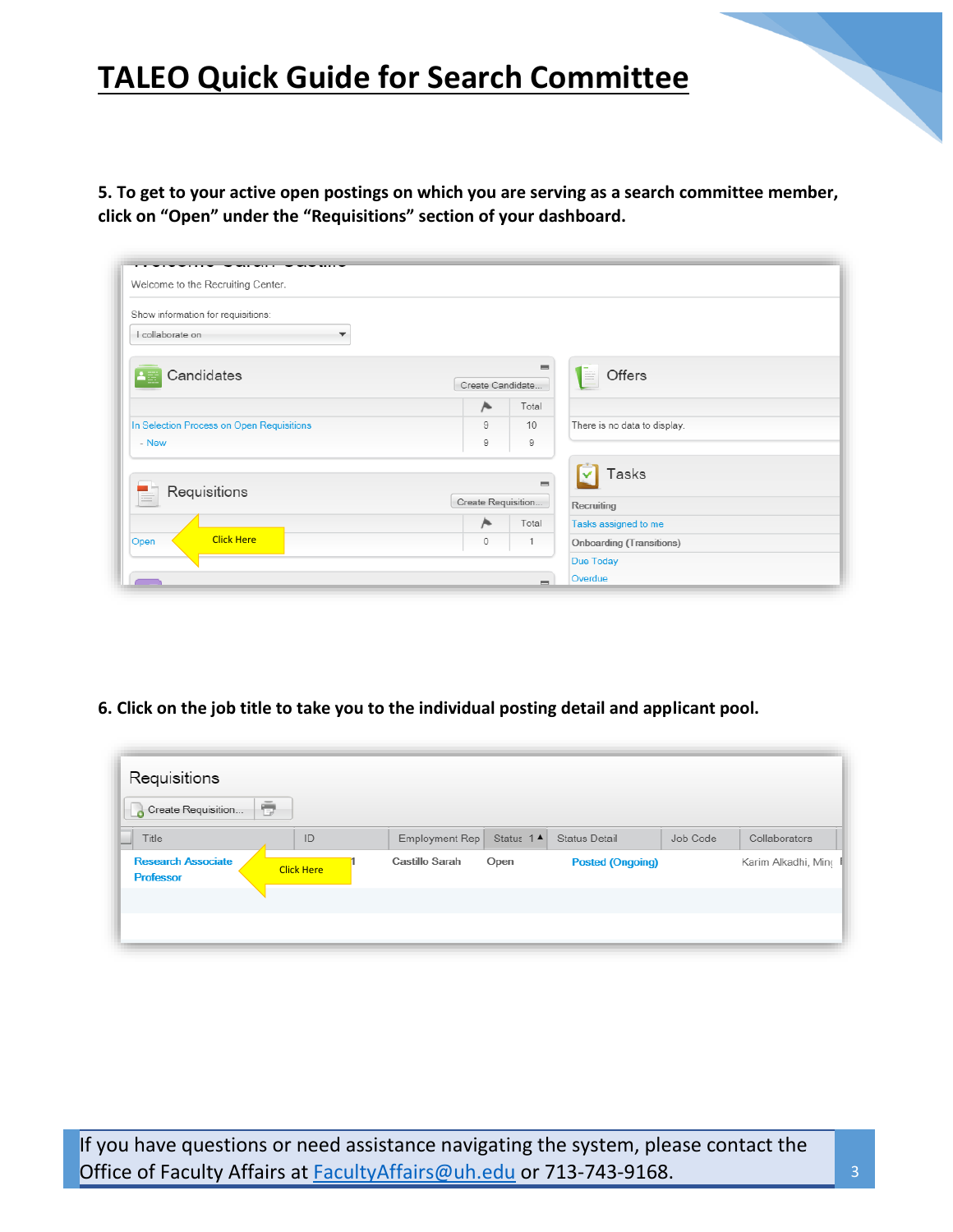**5. To get to your active open postings on which you are serving as a search committee member, click on "Open" under the "Requisitions" section of your dashboard.** 

| Show information for requisitions:          |                    |                              |                                 |  |
|---------------------------------------------|--------------------|------------------------------|---------------------------------|--|
| I collaborate on<br>$\overline{\mathbf{v}}$ |                    |                              |                                 |  |
| Candidates                                  | Create Candidate   | $\qquad \qquad \blacksquare$ | Offers<br>E                     |  |
|                                             | A                  | Total                        |                                 |  |
| In Selection Process on Open Requisitions   | 9                  | 10                           | There is no data to display.    |  |
| - New                                       | 9                  | 9                            |                                 |  |
| Requisitions                                |                    | $\equiv$                     | Tasks                           |  |
|                                             | Create Requisition |                              | Recruiting                      |  |
|                                             | A                  | Total                        | Tasks assigned to me            |  |
| <b>Click Here</b><br>Open                   | $\mathbf 0$        | 1                            | <b>Onboarding (Transitions)</b> |  |

**6. Click on the job title to take you to the individual posting detail and applicant pool.**

| Requisitions<br>Create Requisition            | ō                 |                |                       |                         |          |                       |
|-----------------------------------------------|-------------------|----------------|-----------------------|-------------------------|----------|-----------------------|
| Title                                         | ID                | Employment Rep | Status 1 <sup>4</sup> | <b>Status Detail</b>    | Job Code | Collaborators         |
| <b>Research Associate</b><br><b>Professor</b> | <b>Click Here</b> | Castillo Sarah | Open                  | <b>Posted (Ongoing)</b> |          | Karim Alkadhi, Minc F |
|                                               |                   |                |                       |                         |          |                       |
|                                               |                   |                |                       |                         |          |                       |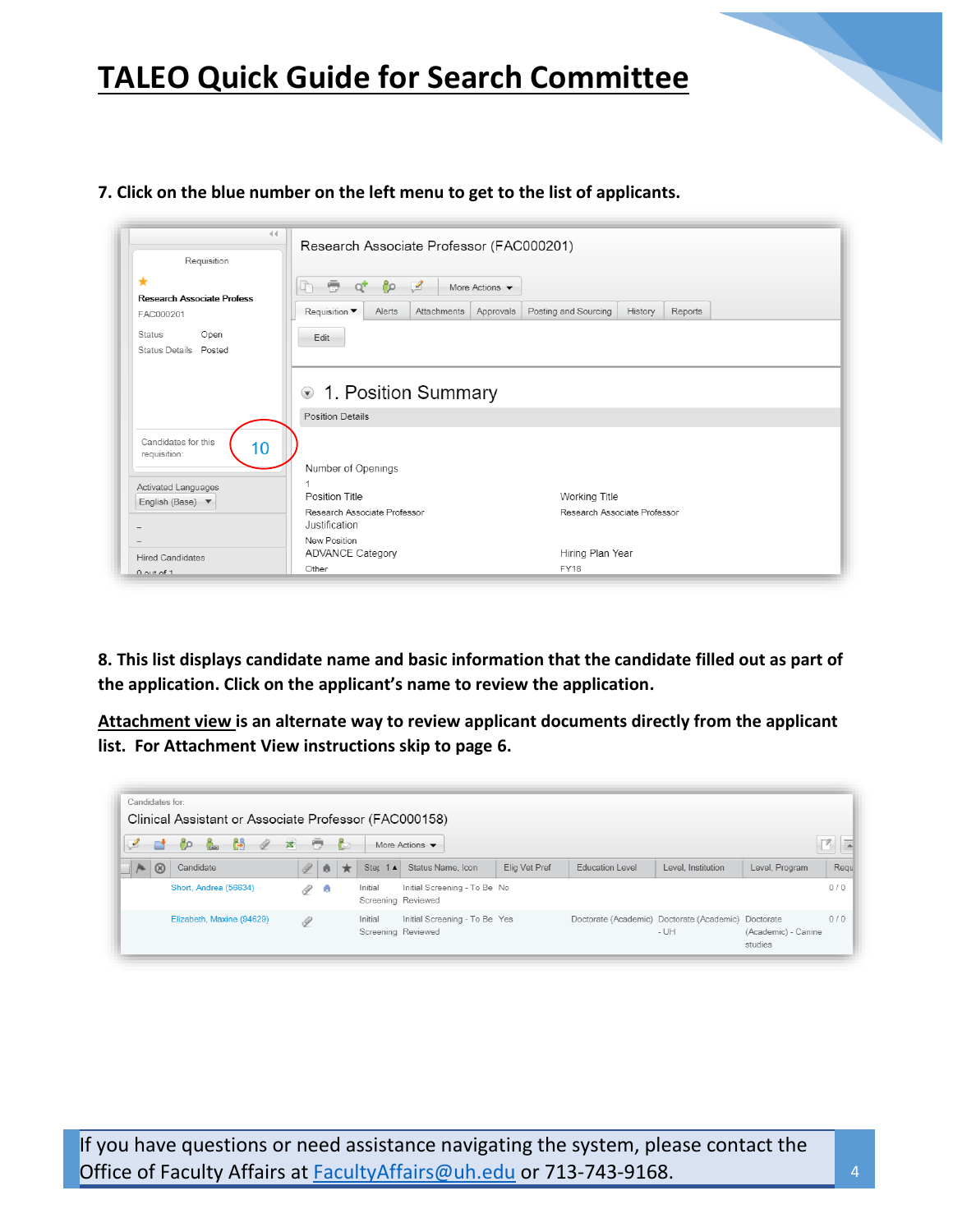## **7. Click on the blue number on the left menu to get to the list of applicants.**

| 44<br>Requisition                                                                                     | Research Associate Professor (FAC000201)                                                                                                                             |
|-------------------------------------------------------------------------------------------------------|----------------------------------------------------------------------------------------------------------------------------------------------------------------------|
| *<br><b>Research Associate Profess</b><br>FAC000201<br>Open<br><b>Status</b><br>Status Details Posted | 亭<br>ೊ<br>⊻<br>More Actions $\blacktriangledown$<br>Posting and Sourcing<br>Approvals<br><b>Requisition</b> ▼<br>Alerts<br>Attachments<br>History<br>Reports<br>Edit |
|                                                                                                       | ● 1. Position Summary<br><b>Position Details</b>                                                                                                                     |
| Candidates for this<br>10<br>requisition:<br>Activated Languages<br>English (Base) ▼                  | Number of Openings<br>Position Title<br>Working Title                                                                                                                |
|                                                                                                       | Research Associate Professor<br>Research Associate Professor<br>Justification                                                                                        |
| $\overline{\phantom{a}}$<br><b>Hired Candidates</b><br>$0$ out of 1                                   | New Position<br>Hiring Plan Year<br><b>ADVANCE Category</b><br><b>FY18</b><br>Other                                                                                  |

**8. This list displays candidate name and basic information that the candidate filled out as part of the application. Click on the applicant's name to review the application.**

**Attachment view is an alternate way to review applicant documents directly from the applicant list. For Attachment View instructions skip to page 6.**

| Candidates for:               | Clinical Assistant or Associate Professor (FAC000158) |        |           |              |                               |                                   |               |                        |                                                               |                                |      |
|-------------------------------|-------------------------------------------------------|--------|-----------|--------------|-------------------------------|-----------------------------------|---------------|------------------------|---------------------------------------------------------------|--------------------------------|------|
|                               | 68<br>Ğ.<br>I                                         | 客<br>÷ |           | $\mathbb{C}$ |                               | More Actions $\blacktriangledown$ |               |                        |                                                               |                                |      |
| $\overline{a}$<br>$\circledR$ | Candidate                                             | P      | $\bullet$ | $\star$      | <b>Ster</b><br>$1 \triangle$  | Status Name, Icon                 | Elig Vet Pref | <b>Education Level</b> | Level, Institution                                            | Level, Program                 | Regu |
|                               | Short, Andrea (56634)                                 | I      | ÷         |              | Initial<br>Screening Reviewed | Initial Screening - To Be No      |               |                        |                                                               |                                | 0/0  |
|                               | Elizabeth, Maxine (94629)                             | 0      |           |              | Initial<br>Screening Reviewed | Initial Screening - To Be Yes     |               |                        | Doctorate (Academic) Doctorate (Academic) Doctorate<br>$- UH$ | (Academic) - Canine<br>studies | 0/0  |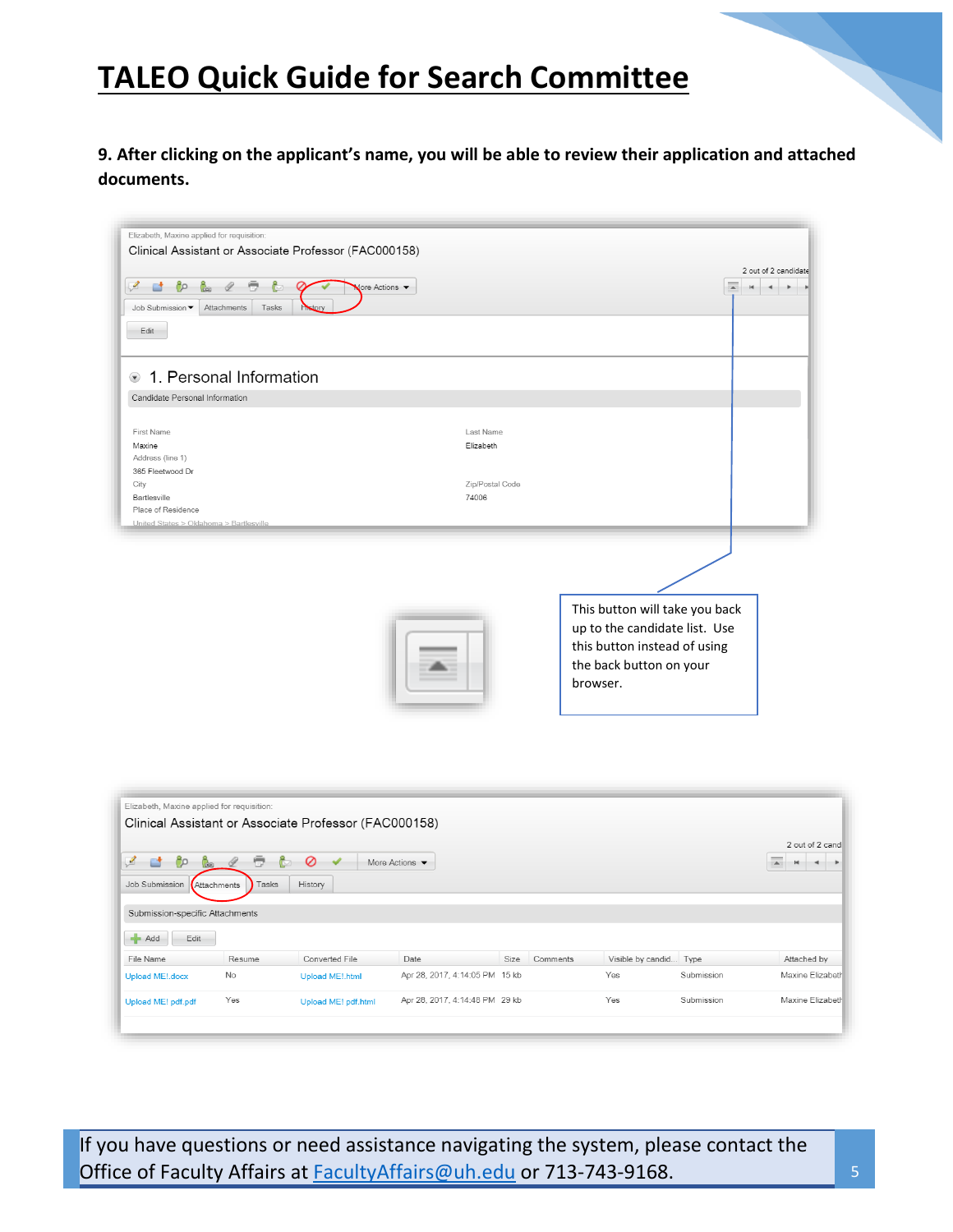**9. After clicking on the applicant's name, you will be able to review their application and attached documents.** 

| 1. Personal Information                                       |                          |                                                                                                                                        |
|---------------------------------------------------------------|--------------------------|----------------------------------------------------------------------------------------------------------------------------------------|
| Candidate Personal Information                                |                          |                                                                                                                                        |
| First Name<br>Maxine<br>Address (line 1)                      | Last Name<br>Elizabeth   |                                                                                                                                        |
| 365 Fleetwood Dr<br>City<br>Bartlesville                      | Zip/Postal Code<br>74006 |                                                                                                                                        |
| Place of Residence<br>United States > Oklahoma > Bartlesville |                          |                                                                                                                                        |
|                                                               |                          | This button will take you back<br>up to the candidate list. Use<br>this button instead of using<br>the back button on your<br>browser. |

| ℐ<br>ೊ<br>Gebruar 1<br>Job Submission | o<br>– I<br>Tasks<br>Attachments | ¢<br>Ø<br>History      | More Actions $\blacktriangledown$ |      |          |                        |            | 2 out of 2 cand<br>$\blacktriangle$<br>÷<br>H |
|---------------------------------------|----------------------------------|------------------------|-----------------------------------|------|----------|------------------------|------------|-----------------------------------------------|
| Submission-specific Attachments       |                                  |                        |                                   |      |          |                        |            |                                               |
| Add<br>Edit                           |                                  |                        |                                   |      |          |                        |            |                                               |
| File Name                             | Resume                           | Converted File         | Date                              | Size | Comments | Visible by candid Type |            | Attached by                                   |
| Upload ME! docx                       | No                               | <b>Upload ME!.html</b> | Apr 28, 2017, 4:14:05 PM 15 kb    |      |          | Yes                    | Submission | Maxine Elizabeth                              |
| Upload ME! pdf.pdf                    | Yes                              | Upload ME! pdf.html    | Apr 28, 2017, 4:14:48 PM 29 kb    |      |          | Yes                    | Submission | Maxine Elizabeth                              |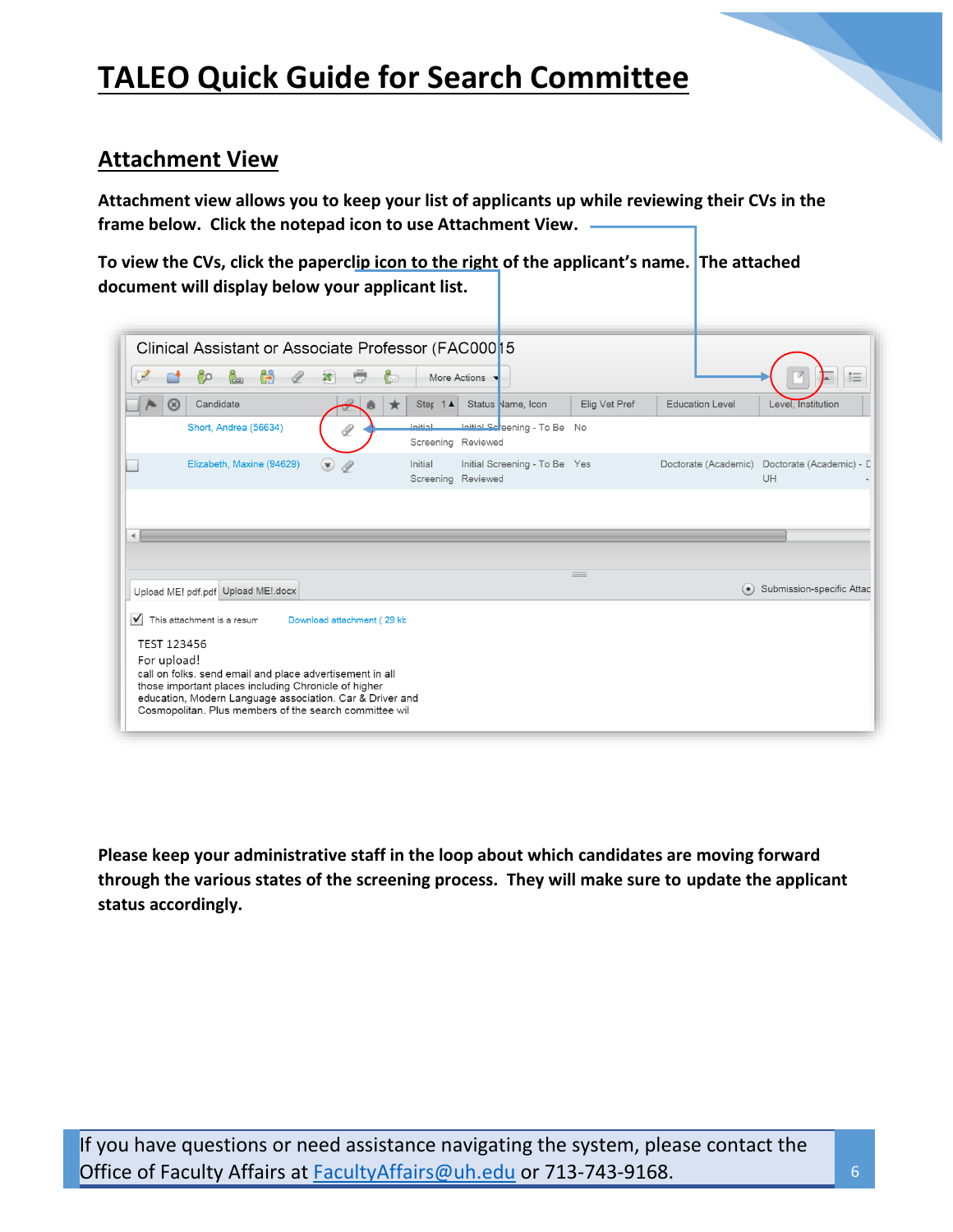## **Attachment View**

**Attachment view allows you to keep your list of applicants up while reviewing their CVs in the frame below. Click the notepad icon to use Attachment View.** 

**To view the CVs, click the paperclip icon to the right of the applicant's name. The attached document will display below your applicant list.**

| ∞                    | Clinical Assistant or Associate Professor (FAC000 15<br>Candidate |                             | Ster 1A | More Actions<br>Status Name, Icon                               | Elig Vet Pref | <b>Education Level</b>   | Level, Institution             |
|----------------------|-------------------------------------------------------------------|-----------------------------|---------|-----------------------------------------------------------------|---------------|--------------------------|--------------------------------|
|                      | Short, Andrea (56634)                                             |                             | Initial | Initial Sc <sup>r</sup> eening - To Be No<br>Screening Reviewed |               |                          |                                |
|                      | Elizabeth, Maxine (94629)                                         | $(\blacktriangledown)$<br>Î | Initial | Initial Screening - To Be Yes<br>Screening Reviewed             |               | Doctorate (Academic)     | Doctorate (Academic) - L<br>UH |
|                      |                                                                   |                             |         |                                                                 |               |                          |                                |
| $\blacktriangleleft$ | Upload ME! pdf.pdf Upload ME! docx                                |                             |         |                                                                 | $=$           | $\left( \bullet \right)$ | Submission-specific Attac      |

**Please keep your administrative staff in the loop about which candidates are moving forward through the various states of the screening process. They will make sure to update the applicant status accordingly.**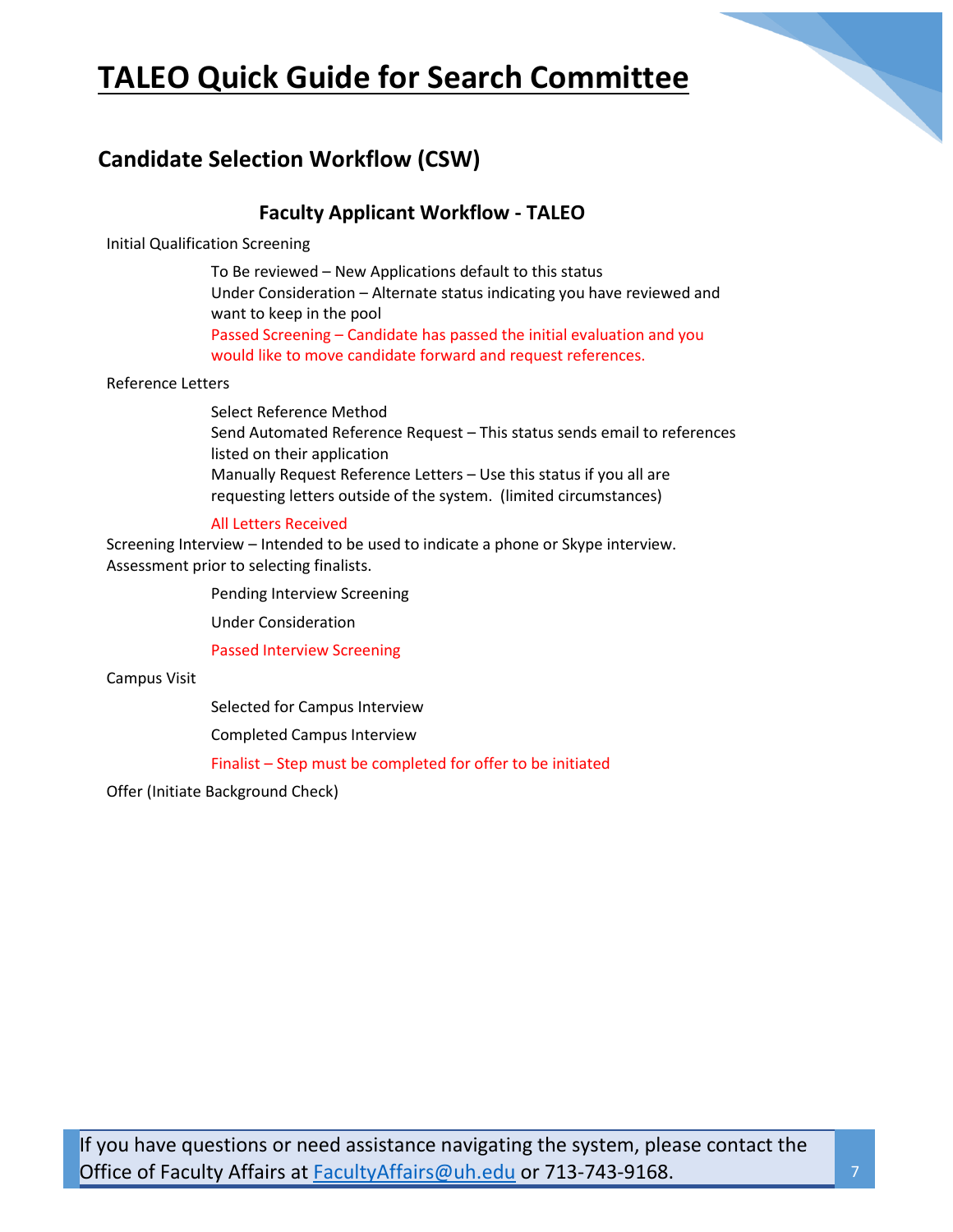

## **Candidate Selection Workflow (CSW)**

## **Faculty Applicant Workflow - TALEO**

Initial Qualification Screening

To Be reviewed – New Applications default to this status Under Consideration – Alternate status indicating you have reviewed and want to keep in the pool Passed Screening – Candidate has passed the initial evaluation and you would like to move candidate forward and request references.

## Reference Letters

Select Reference Method Send Automated Reference Request – This status sends email to references listed on their application Manually Request Reference Letters – Use this status if you all are requesting letters outside of the system. (limited circumstances)

## All Letters Received

Screening Interview – Intended to be used to indicate a phone or Skype interview. Assessment prior to selecting finalists.

Pending Interview Screening

Under Consideration

Passed Interview Screening

Campus Visit

Selected for Campus Interview

Completed Campus Interview

Finalist – Step must be completed for offer to be initiated

Offer (Initiate Background Check)